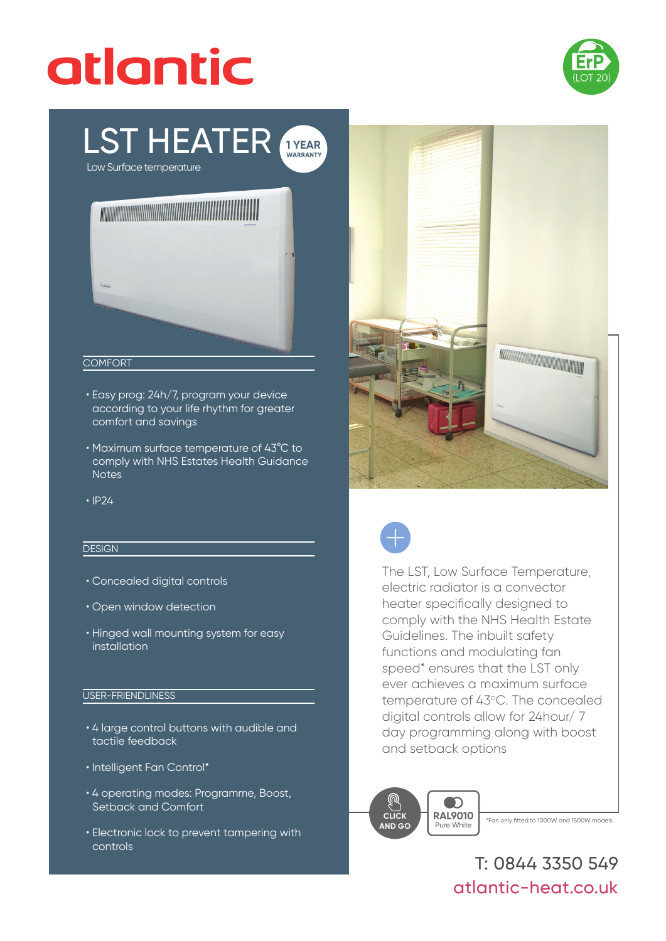# atlantic



# LST HEATER **1 YEAR**

Low Surface temperature



#### **COMFORT**

- Easy prog: 24h/7, program your device according to your life rhythm for greater comfort and savings
- Maximum surface temperature of 43°C to comply with NHS Estates Health Guidance **Notes**
- IP24

## **DESIGN**

- Concealed digital controls
- Open window detection
- Hinged wall mounting system for easy installation

### USER-FRIENDLINESS

- 4 large control buttons with audible and tactile feedback
- Intelligent Fan Control\*
- 4 operating modes: Programme, Boost, Setback and Comfort
- Electronic lock to prevent tampering with controls





The LST, Low Surface Temperature, electric radiator is a convector heater specifically designed to comply with the NHS Health Estate Guidelines. The inbuilt safety functions and modulating fan speed\* ensures that the LST only ever achieves a maximum surface temperature of 43°C. The concealed digital controls allow for 24hour/ 7 day programming along with boost and setback options



T: 0844 3350 549 atlantic-heat.co.uk